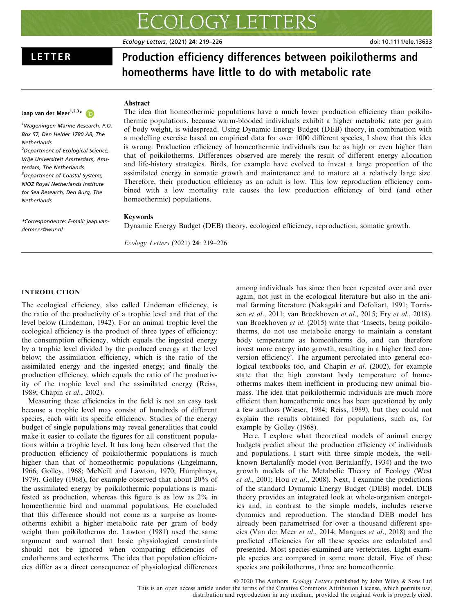# **ECOLOGY LETTERS**

Ecology Letters, (2021) 24: 219–226 doi: 10.1111/ele.13633

## LETTER Production efficiency differences between poikilotherms and homeotherms have little to do with metabolic rate

### Jaap van der Meer<sup>1,2,3</sup>[\\*](https://orcid.org/0000-0003-4818-2408)

1 Wageningen Marine Research, P.O. Box 57, Den Helder 1780 AB, The **Netherlands** 

<sup>2</sup>Department of Ecological Science, Vrije Universiteit Amsterdam, Amsterdam, The Netherlands 3 Department of Coastal Systems, NIOZ Royal Netherlands Institute for Sea Research, Den Burg, The **Netherlands** 

\*Correspondence: E-mail: [jaap.van](mailto:)[dermeer@wur.nl](mailto:)

#### Abstract

The idea that homeothermic populations have a much lower production efficiency than poikilothermic populations, because warm-blooded individuals exhibit a higher metabolic rate per gram of body weight, is widespread. Using Dynamic Energy Budget (DEB) theory, in combination with a modelling exercise based on empirical data for over 1000 different species, I show that this idea is wrong. Production efficiency of homeothermic individuals can be as high or even higher than that of poikilotherms. Differences observed are merely the result of different energy allocation and life-history strategies. Birds, for example have evolved to invest a large proportion of the assimilated energy in somatic growth and maintenance and to mature at a relatively large size. Therefore, their production efficiency as an adult is low. This low reproduction efficiency combined with a low mortality rate causes the low production efficiency of bird (and other homeothermic) populations.

#### Keywords

Dynamic Energy Budget (DEB) theory, ecological efficiency, reproduction, somatic growth.

Ecology Letters (2021) 24: 219–226

#### INTRODUCTION

The ecological efficiency, also called Lindeman efficiency, is the ratio of the productivity of a trophic level and that of the level below (Lindeman, 1942). For an animal trophic level the ecological efficiency is the product of three types of efficiency: the consumption efficiency, which equals the ingested energy by a trophic level divided by the produced energy at the level below; the assimilation efficiency, which is the ratio of the assimilated energy and the ingested energy; and finally the production efficiency, which equals the ratio of the productivity of the trophic level and the assimilated energy (Reiss, 1989; Chapin et al., 2002).

Measuring these efficiencies in the field is not an easy task because a trophic level may consist of hundreds of different species, each with its specific efficiency. Studies of the energy budget of single populations may reveal generalities that could make it easier to collate the figures for all constituent populations within a trophic level. It has long been observed that the production efficiency of poikilothermic populations is much higher than that of homeothermic populations (Engelmann, 1966; Golley, 1968; McNeill and Lawton, 1970; Humphreys, 1979). Golley (1968), for example observed that about 20% of the assimilated energy by poikilothermic populations is manifested as production, whereas this figure is as low as 2% in homeothermic bird and mammal populations. He concluded that this difference should not come as a surprise as homeotherms exhibit a higher metabolic rate per gram of body weight than poikilotherms do. Lawton (1981) used the same argument and warned that basic physiological constraints should not be ignored when comparing efficiencies of endotherms and ectotherms. The idea that population efficiencies differ as a direct consequence of physiological differences among individuals has since then been repeated over and over again, not just in the ecological literature but also in the animal farming literature (Nakagaki and Defoliart, 1991; Torrissen et al., 2011; van Broekhoven et al., 2015; Fry et al., 2018). van Broekhoven et al. (2015) write that 'Insects, being poikilotherms, do not use metabolic energy to maintain a constant body temperature as homeotherms do, and can therefore invest more energy into growth, resulting in a higher feed conversion efficiency'. The argument percolated into general ecological textbooks too, and Chapin et al. (2002), for example state that the high constant body temperature of homeotherms makes them inefficient in producing new animal biomass. The idea that poikilothermic individuals are much more efficient than homeothermic ones has been questioned by only a few authors (Wieser, 1984; Reiss, 1989), but they could not explain the results obtained for populations, such as, for example by Golley (1968).

Here, I explore what theoretical models of animal energy budgets predict about the production efficiency of individuals and populations. I start with three simple models, the wellknown Bertalanffy model (von Bertalanffy, 1934) and the two growth models of the Metabolic Theory of Ecology (West et al., 2001; Hou et al., 2008). Next, I examine the predictions of the standard Dynamic Energy Budget (DEB) model. DEB theory provides an integrated look at whole-organism energetics and, in contrast to the simple models, includes reserve dynamics and reproduction. The standard DEB model has already been parametrised for over a thousand different species (Van der Meer et al., 2014; Marques et al., 2018) and the predicted efficiencies for all these species are calculated and presented. Most species examined are vertebrates. Eight example species are compared in some more detail. Five of these species are poikilotherms, three are homeothermic.

© 2020 The Authors. Ecology Letters published by John Wiley & Sons Ltd This is an open access article under the terms of the [Creative Commons Attribution](http://creativecommons.org/licenses/by/4.0/) License, which permits use, distribution and reproduction in any medium, provided the original work is properly cited.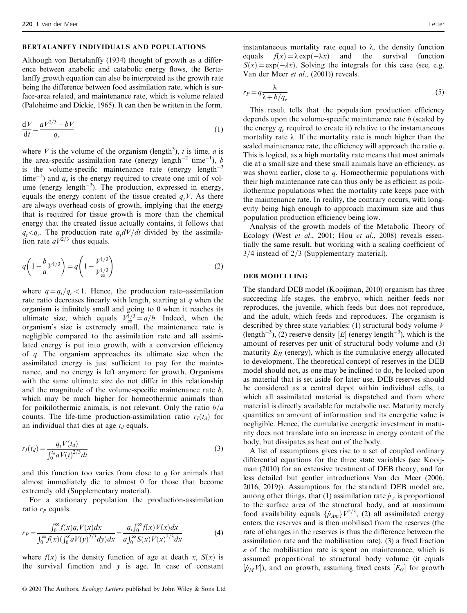#### BERTALANFFY INDIVIDUALS AND POPULATIONS

Although von Bertalanffy (1934) thought of growth as a difference between anabolic and catabolic energy flows, the Bertalanffy growth equation can also be interpreted as the growth rate being the difference between food assimilation rate, which is surface-area related, and maintenance rate, which is volume related (Paloheimo and Dickie, 1965). It can then be written in the form.

$$
\frac{\mathrm{d}V}{\mathrm{d}t} = \frac{aV^{2/3} - bV}{q_r} \tag{1}
$$

where V is the volume of the organism (length<sup>3</sup>), t is time, a is the area-specific assimilation rate (energy length<sup>-2</sup> time<sup>-1</sup>), b is the volume-specific maintenance rate (energy length−<sup>3</sup> time<sup>-1</sup>) and  $q_r$  is the energy required to create one unit of volume (energy length<sup>-3</sup>). The production, expressed in energy, equals the energy content of the tissue created  $q_tV$ . As there are always overhead costs of growth, implying that the energy that is required for tissue growth is more than the chemical energy that the created tissue actually contains, it follows that  $q_t \lt q_r$ . The production rate  $q_t dV/dt$  divided by the assimilation rate  $aV^{2/3}$  thus equals.

$$
q\left(1 - \frac{b}{a}V^{1/3}\right) = q\left(1 - \frac{V^{1/3}}{V^{1/3}_{\infty}}\right)
$$
 (2)

where  $q = q_t/q_t < 1$ . Hence, the production rate–assimilation rate ratio decreases linearly with length, starting at  $q$  when the organism is infinitely small and going to 0 when it reaches its ultimate size, which equals  $V_{\infty}^{1/3} = a/b$ . Indeed, when the organism's size is extremely small, the maintenance rate is negligible compared to the assimilation rate and all assimilated energy is put into growth, with a conversion efficiency of q. The organism approaches its ultimate size when the assimilated energy is just sufficient to pay for the maintenance, and no energy is left anymore for growth. Organisms with the same ultimate size do not differ in this relationship and the magnitude of the volume-specific maintenance rate b, which may be much higher for homeothermic animals than for poikilothermic animals, is not relevant. Only the ratio  $b/a$ counts. The life-time production-assimilation ratio  $r_I(t_d)$  for an individual that dies at age  $t_d$  equals.

$$
r_I(t_d) = \frac{q_I V(t_d)}{\int_0^{t_d} a V(t)^{2/3} dt}
$$
\n(3)

and this function too varies from close to  $q$  for animals that almost immediately die to almost 0 for those that become extremely old (Supplementary material).

For a stationary population the production-assimilation ratio  $r_P$  equals.

$$
r_P = \frac{\int_0^\infty f(x) q_t V(x) dx}{\int_0^\infty f(x) (\int_0^x a V(y)^{2/3} dy) dx} = \frac{q_t \int_0^\infty f(x) V(x) dx}{a \int_0^\infty S(x) V(x)^{2/3} dx}
$$
(4)

where  $f(x)$  is the density function of age at death x,  $S(x)$  is the survival function and  $y$  is age. In case of constant instantaneous mortality rate equal to  $\lambda$ , the density function equals  $f(x) = \lambda \exp(-\lambda x)$  and the survival function<br> $S(x) = \exp(-\lambda x)$  Solving the integrals for this case (see e.g.  $S(x) = \exp(-\lambda x)$ . Solving the integr<br>Van der Meer *et al.*, (2001)) reveals.  $S(x) = \exp(-\lambda x)$ . Solving the integrals for this case (see, e.g.

$$
r_P = q \frac{\lambda}{\lambda + b/q_r} \tag{5}
$$

This result tells that the population production efficiency depends upon the volume-specific maintenance rate  $b$  (scaled by the energy  $q_r$  required to create it) relative to the instantaneous mortality rate  $\lambda$ . If the mortality rate is much higher than the scaled maintenance rate, the efficiency will approach the ratio q. This is logical, as a high mortality rate means that most animals die at a small size and these small animals have an efficiency, as was shown earlier, close to  $q$ . Homeothermic populations with their high maintenance rate can thus only be as efficient as poikilothermic populations when the mortality rate keeps pace with the maintenance rate. In reality, the contrary occurs, with longevity being high enough to approach maximum size and thus population production efficiency being low.

Analysis of the growth models of the Metabolic Theory of Ecology (West et al., 2001; Hou et al., 2008) reveals essentially the same result, but working with a scaling coefficient of  $3/4$  instead of  $2/3$  (Supplementary material).

#### DEB MODELLING

The standard DEB model (Kooijman, 2010) organism has three succeeding life stages, the embryo, which neither feeds nor reproduces, the juvenile, which feeds but does not reproduce, and the adult, which feeds and reproduces. The organism is described by three state variables: (1) structural body volume  $V$ (length<sup>-3</sup>), (2) reserve density [E] (energy length<sup>-3</sup>), which is the amount of reserves per unit of structural body volume and (3) amount of reserves per unit of structural body volume and (3) maturity  $E_H$  (energy), which is the cumulative energy allocated to development. The theoretical concept of reserves in the DEB model should not, as one may be inclined to do, be looked upon as material that is set aside for later use. DEB reserves should be considered as a central depot within individual cells, to which all assimilated material is dispatched and from where material is directly available for metabolic use. Maturity merely quantifies an amount of information and its energetic value is negligible. Hence, the cumulative energetic investment in maturity does not translate into an increase in energy content of the body, but dissipates as heat out of the body.

A list of assumptions gives rise to a set of coupled ordinary differential equations for the three state variables (see Kooijman (2010) for an extensive treatment of DEB theory, and for less detailed but gentler introductions Van der Meer (2006, 2016, 2019)). Assumptions for the standard DEB model are, among other things, that (1) assimilation rate  $\dot{p}_A$  is proportional to the surface area of the structural body, and at maximum food availability equals  $\{\dot{p}_{Am}\}V^{2/3}$ , (2) all assimilated energy enters the reserves and is then mobilised from the reserves (the rate of changes in the reserves is thus the difference between the assimilation rate and the mobilisation rate), (3) a fixed fraction  $\kappa$  of the mobilisation rate is spent on maintenance, which is assumed proportional to structural body volume (it equals  $[\dot{p}_M V]$ , and on growth, assuming fixed costs  $[E_G]$  for growth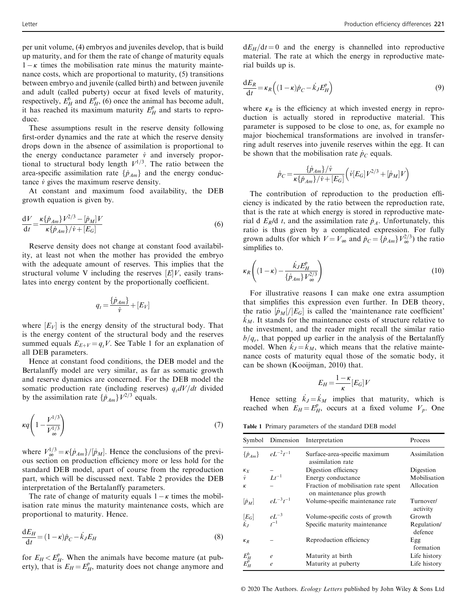per unit volume, (4) embryos and juveniles develop, that is build up maturity, and for them the rate of change of maturity equals  $1 - \kappa$  times the mobilisation rate minus the maturity mainte-<br>nance costs, which are proportional to maturity (5) transitions nance costs, which are proportional to maturity, (5) transitions between embryo and juvenile (called birth) and between juvenile and adult (called puberty) occur at fixed levels of maturity, respectively,  $E_H^b$  and  $E_H^p$ , (6) once the animal has become adult, it has reached its maximum maturity  $E_H^p$  and starts to reproduce.

These assumptions result in the reserve density following first-order dynamics and the rate at which the reserve density drops down in the absence of assimilation is proportional to the energy conductance parameter  $\dot{v}$  and inversely proportional to structural body length  $V^{1/3}$ . The ratio between the area-specific assimilation rate  $\{\dot{p}_{Am}\}\$  and the energy conductance  $\dot{v}$  gives the maximum reserve density.

At constant and maximum food availability, the DEB growth equation is given by.

$$
\frac{\mathrm{d}V}{\mathrm{d}t} = \frac{\kappa \{\dot{p}_{Am}\} V^{2/3} - [\dot{p}_M] V}{\kappa \{\dot{p}_{Am}\} / \dot{v} + [E_G]}
$$
(6)

Reserve density does not change at constant food availability, at least not when the mother has provided the embryo with the adequate amount of reserves. This implies that the structural volume V including the reserves  $E|V$ , easily translates into energy content by the proportionally coefficient.

$$
q_t = \frac{\{\dot{p}_{Am}\}}{\dot{v}} + [E_V]
$$

where  $\left[E_V\right]$  is the energy density of the structural body. That is the energy content of the structural body and the reserves summed equals  $E_{E+V} = q_t V$ . See Table 1 for an explanation of all DEB parameters.

Hence at constant food conditions, the DEB model and the Bertalanffy model are very similar, as far as somatic growth and reserve dynamics are concerned. For the DEB model the somatic production rate (including reserves)  $q_t dV/dt$  divided by the assimilation rate  $\{\dot{p}_{Am}\}V^{2/3}$  equals.

$$
\kappa q \left( 1 - \frac{V^{1/3}}{V_{\infty}^{1/3}} \right) \tag{7}
$$

where  $V_{\infty}^{1/3} = \kappa {\{\dot{p}_{Am}\}}/{[\dot{p}_M]}$ . Hence the conclusions of the previous section on production efficiency more or less hold for the standard DEB model, apart of course from the reproduction part, which will be discussed next. Table 2 provides the DEB interpretation of the Bertalanffy parameters.

The rate of change of maturity equals  $1 - \kappa$  times the mobil-<br>tion rate minus the maturity maintenance costs, which are isation rate minus the maturity maintenance costs, which are proportional to maturity. Hence.

$$
\frac{\mathrm{d}E_H}{\mathrm{d}t} = (1 - \kappa)\dot{p}_C - \dot{k}_J E_H \tag{8}
$$

for  $E_H < E_H^p$ . When the animals have become mature (at puberty), that is  $E_H = E_H^p$ , maturity does not change anymore and  $dE_H/dt=0$  and the energy is channelled into reproductive material. The rate at which the energy in reproductive material builds up is.

$$
\frac{\mathrm{d}E_R}{\mathrm{d}t} = \kappa_R \left( (1 - \kappa) \dot{p}_C - \dot{k}_J E_H^p \right) \tag{9}
$$

where  $\kappa_R$  is the efficiency at which invested energy in reproduction is actually stored in reproductive material. This parameter is supposed to be close to one, as, for example no major biochemical transformations are involved in transferring adult reserves into juvenile reserves within the egg. It can be shown that the mobilisation rate  $\dot{p}_C$  equals.

$$
\dot{p}_C = \frac{\{\dot{p}_{Am}\}/\dot{v}}{\kappa \{\dot{p}_{Am}\}/\dot{v} + [E_G]} \left( \dot{v}[E_G] V^{2/3} + [\dot{p}_M] V \right)
$$

The contribution of reproduction to the production efficiency is indicated by the ratio between the reproduction rate, that is the rate at which energy is stored in reproductive material d  $E_R/d$  t, and the assimilation rate  $\dot{p}_A$ . Unfortunately, this ratio is thus given by a complicated expression. For fully grown adults (for which  $V = V_{\infty}$  and  $\dot{p}_C = {\{\dot{p}_{Am}\}}V_{\infty}^{2/3}$ ) the ratio simplifies to.

$$
\kappa_R \left( (1 - \kappa) - \frac{\dot{k}_J E_H^p}{\{\dot{p}_{Am}\} V_\infty^{2/3}} \right) \tag{10}
$$

For illustrative reasons I can make one extra assumption that simplifies this expression even further. In DEB theory, the ratio  $\left| \dot{p}_M \right| / \left| E_G \right|$  is called the 'maintenance rate coefficient'  $k_M$ . It stands for the maintenance costs of structure relative to the investment, and the reader might recall the similar ratio  $b/q_r$ , that popped up earlier in the analysis of the Bertalanffy model. When  $k_j = k_M$ , which means that the relative mainte-<br>nance costs of maturity equal those of the somatic hody if nance costs of maturity equal those of the somatic body, it can be shown (Kooijman, 2010) that.

$$
E_H = \frac{1-\kappa}{\kappa} [E_G] V
$$

Hence setting  $k_J = k_M$  implies that maturity, which is<br>ached when  $F_{tt} - F^p$  occurs at a fixed volume V. One reached when  $E_H = E_H^p$ , occurs at a fixed volume  $V_p$ . One

Table 1 Primary parameters of the standard DEB model

| Symbol                            | Dimension            | Interpretation                                                    | Process                |  |
|-----------------------------------|----------------------|-------------------------------------------------------------------|------------------------|--|
| $\{\dot{p}_{Am}\}$                | $\rho L^{-2} t^{-1}$ | Surface-area-specific maximum<br>assimilation rate                | Assimilation           |  |
| $\kappa_X$                        |                      | Digestion efficiency                                              | Digestion              |  |
| $\dot{v}$                         | $Lt^{-1}$            | Energy conductance                                                | Mobilisation           |  |
| ĸ                                 |                      | Fraction of mobilisation rate spent<br>on maintenance plus growth | Allocation             |  |
| $[\dot{p}_M]$                     | $e^{-3}t^{-1}$       | Volume-specific maintenance rate                                  | Turnover/<br>activity  |  |
|                                   | $eL^{-3}$            | Volume-specific costs of growth                                   | Growth                 |  |
| $\left[E_G\right]$<br>$\dot{k}_J$ |                      | Specific maturity maintenance                                     | Regulation/<br>defence |  |
| $K_R$                             |                      | Reproduction efficiency                                           | Egg<br>formation       |  |
| $E_H^b$                           | e                    | Maturity at birth                                                 | Life history           |  |
| $E_H^p$                           | e                    | Maturity at puberty                                               | Life history           |  |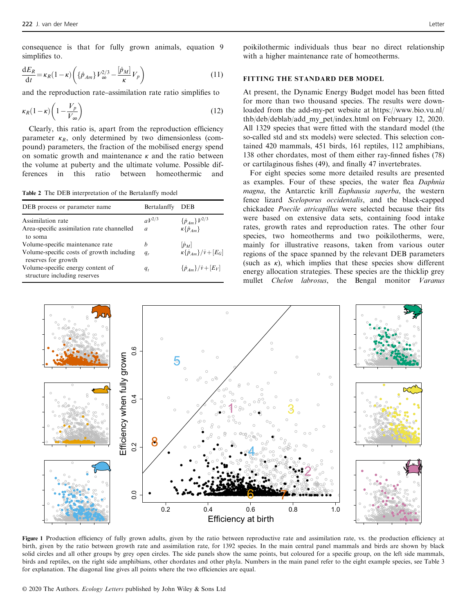consequence is that for fully grown animals, equation 9 simplifies to.

$$
\frac{\mathrm{d}E_R}{\mathrm{d}t} = \kappa_R (1 - \kappa) \left( \left\{ \dot{p}_{Am} \right\} V_{\infty}^{2/3} - \frac{\left[ \dot{p}_M \right]}{\kappa} V_p \right) \tag{11}
$$

and the reproduction rate–assimilation rate ratio simplifies to

$$
\kappa_R(1-\kappa)\left(1-\frac{V_p}{V_\infty}\right) \tag{12}
$$

Clearly, this ratio is, apart from the reproduction efficiency parameter  $\kappa_R$ , only determined by two dimensionless (compound) parameters, the fraction of the mobilised energy spend on somatic growth and maintenance  $\kappa$  and the ratio between the volume at puberty and the ultimate volume. Possible differences in this ratio between homeothermic and

Table 2 The DEB interpretation of the Bertalanffy model

| DEB process or parameter name                                     | Bertalanffy   | <b>DEB</b>                         |
|-------------------------------------------------------------------|---------------|------------------------------------|
| Assimilation rate                                                 | $aV^{2/3}$    | $\{\dot{p}_{Am}\}V^{2/3}$          |
| Area-specific assimilation rate channelled<br>to soma             | $\mathfrak a$ | $\kappa\{\dot{p}_{4m}\}\$          |
| Volume-specific maintenance rate                                  | h             | $ \dot{p}_M $                      |
| Volume-specific costs of growth including<br>reserves for growth  | $q_r$         | $\kappa\{p_{4m}\}/v+[E_G]$         |
| Volume-specific energy content of<br>structure including reserves | $q_t$         | $\{\dot{p}_{4m}\}/\dot{v} + [E_V]$ |

poikilothermic individuals thus bear no direct relationship with a higher maintenance rate of homeotherms.

#### FITTING THE STANDARD DEB MODEL

At present, the Dynamic Energy Budget model has been fitted for more than two thousand species. The results were downloaded from the add-my-pet website at [https://www.bio.vu.nl/](https://www.bio.vu.nl/thb/deb/deblab/add_my_pet/index.html) [thb/deb/deblab/add\\_my\\_pet/index.html](https://www.bio.vu.nl/thb/deb/deblab/add_my_pet/index.html) on February 12, 2020. All 1329 species that were fitted with the standard model (the so-called std and stx models) were selected. This selection contained 420 mammals, 451 birds, 161 reptiles, 112 amphibians, 138 other chordates, most of them either ray-finned fishes (78) or cartilaginous fishes (49), and finally 47 invertebrates.

For eight species some more detailed results are presented as examples. Four of these species, the water flea Daphnia magna, the Antarctic krill Euphausia superba, the western fence lizard Sceloporus occidentalis, and the black-capped chickadee Poecile atricapillus were selected because their fits were based on extensive data sets, containing food intake rates, growth rates and reproduction rates. The other four species, two homeotherms and two poikilotherms, were, mainly for illustrative reasons, taken from various outer regions of the space spanned by the relevant DEB parameters (such as  $\kappa$ ), which implies that these species show different energy allocation strategies. These species are the thicklip grey mullet Chelon labrosus, the Bengal monitor Varanus



Figure 1 Production efficiency of fully grown adults, given by the ratio between reproductive rate and assimilation rate, vs. the production efficiency at birth, given by the ratio between growth rate and assimilation rate, for 1392 species. In the main central panel mammals and birds are shown by black solid circles and all other groups by grey open circles. The side panels show the same points, but coloured for a specific group, on the left side mammals, birds and reptiles, on the right side amphibians, other chordates and other phyla. Numbers in the main panel refer to the eight example species, see Table 3 for explanation. The diagonal line gives all points where the two efficiencies are equal.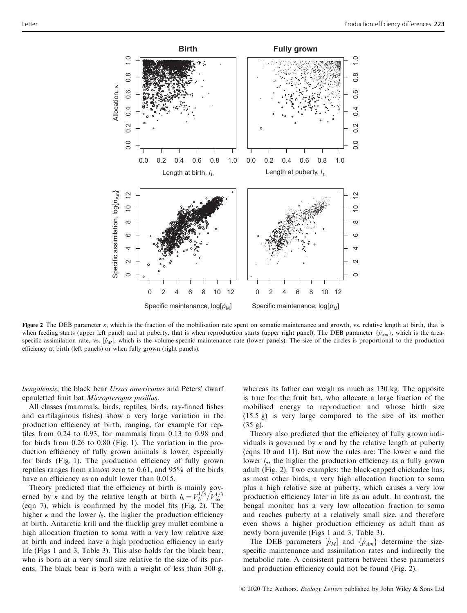

Figure 2 The DEB parameter  $\kappa$ , which is the fraction of the mobilisation rate spent on somatic maintenance and growth, vs. relative length at birth, that is when feeding starts (upper left panel) and at puberty, that is when reproduction starts (upper right panel). The DEB parameter  $\{ \dot{p}_{Am} \}$ , which is the areaspecific assimilation rate, vs.  $\left[\dot{p}_M\right]$ , which is the volume-specific maintenance rate (lower panels). The size of the circles is proportional to the production efficiency at birth (left panels) or when fully grown (right panels).

bengalensis, the black bear Ursus americanus and Peters' dwarf epauletted fruit bat Micropteropus pusillus.

All classes (mammals, birds, reptiles, birds, ray-finned fishes and cartilaginous fishes) show a very large variation in the production efficiency at birth, ranging, for example for reptiles from 0.24 to 0.93, for mammals from 0.13 to 0.98 and for birds from 0.26 to 0.80 (Fig. 1). The variation in the production efficiency of fully grown animals is lower, especially for birds (Fig. 1). The production efficiency of fully grown reptiles ranges from almost zero to 0.61, and 95% of the birds have an efficiency as an adult lower than 0.015.

Theory predicted that the efficiency at birth is mainly governed by k and by the relative length at birth  $l_b = V_b^{1/3} / V_{\infty}^{1/3}$ (eqn 7), which is confirmed by the model fits (Fig. 2). The higher  $\kappa$  and the lower  $l_b$ , the higher the production efficiency at birth. Antarctic krill and the thicklip grey mullet combine a high allocation fraction to soma with a very low relative size at birth and indeed have a high production efficiency in early life (Figs 1 and 3, Table 3). This also holds for the black bear, who is born at a very small size relative to the size of its parents. The black bear is born with a weight of less than 300 g, whereas its father can weigh as much as 130 kg. The opposite is true for the fruit bat, who allocate a large fraction of the mobilised energy to reproduction and whose birth size (15.5 g) is very large compared to the size of its mother (35 g).

Theory also predicted that the efficiency of fully grown individuals is governed by  $\kappa$  and by the relative length at puberty (eqns 10 and 11). But now the rules are: The lower  $\kappa$  and the lower  $l_p$ , the higher the production efficiency as a fully grown adult (Fig. 2). Two examples: the black-capped chickadee has, as most other birds, a very high allocation fraction to soma plus a high relative size at puberty, which causes a very low production efficiency later in life as an adult. In contrast, the bengal monitor has a very low allocation fraction to soma and reaches puberty at a relatively small size, and therefore even shows a higher production efficiency as adult than as newly born juvenile (Figs 1 and 3, Table 3).

The DEB parameters  $\left[\dot{p}_M\right]$  and  $\left\{\dot{p}_{Am}\right\}$  determine the sizespecific maintenance and assimilation rates and indirectly the metabolic rate. A consistent pattern between these parameters and production efficiency could not be found (Fig. 2).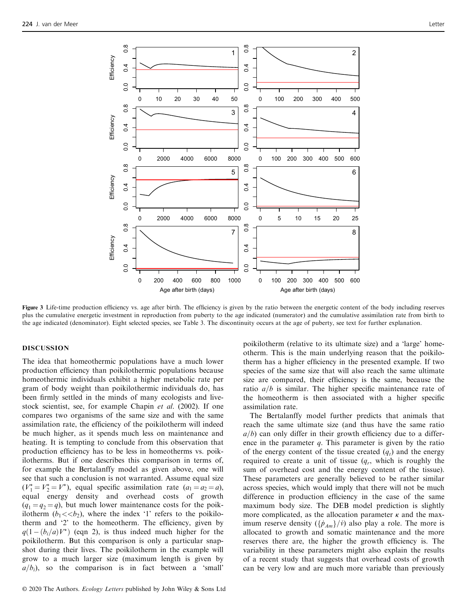

Figure 3 Life-time production efficiency vs. age after birth. The efficiency is given by the ratio between the energetic content of the body including reserves plus the cumulative energetic investment in reproduction from puberty to the age indicated (numerator) and the cumulative assimilation rate from birth to the age indicated (denominator). Eight selected species, see Table 3. The discontinuity occurs at the age of puberty, see text for further explanation.

#### DISCUSSION

The idea that homeothermic populations have a much lower production efficiency than poikilothermic populations because homeothermic individuals exhibit a higher metabolic rate per gram of body weight than poikilothermic individuals do, has been firmly settled in the minds of many ecologists and livestock scientist, see, for example Chapin et al. (2002). If one compares two organisms of the same size and with the same assimilation rate, the efficiency of the poikilotherm will indeed be much higher, as it spends much less on maintenance and heating. It is tempting to conclude from this observation that production efficiency has to be less in homeotherms vs. poikilotherms. But if one describes this comparison in terms of, for example the Bertalanffy model as given above, one will see that such a conclusion is not warranted. Assume equal size  $(V_1^* = V_2^* = V^*)$ , equal specific assimilation rate  $(a_1 = a_2 = a)$ ,<br>equal energy density and overhead costs of growth equal energy density and overhead costs of growth  $(q_1 = q_2 = q)$ , but much lower maintenance costs for the poikilotherm  $(b_1 \ll b_2)$ , where the index '1' refers to the poikilotherm and '2' to the homeotherm. The efficiency, given by  $q(1-(b_i/a)V^*)$  (eqn 2), is thus indeed much higher for the poikilotherm. But this comparison is only a particular spanpoikilotherm. But this comparison is only a particular snapshot during their lives. The poikilotherm in the example will grow to a much larger size (maximum length is given by  $a/b_i$ , so the comparison is in fact between a 'small' poikilotherm (relative to its ultimate size) and a 'large' homeotherm. This is the main underlying reason that the poikilotherm has a higher efficiency in the presented example. If two species of the same size that will also reach the same ultimate size are compared, their efficiency is the same, because the ratio  $a/b$  is similar. The higher specific maintenance rate of the homeotherm is then associated with a higher specific assimilation rate.

The Bertalanffy model further predicts that animals that reach the same ultimate size (and thus have the same ratio  $a/b$ ) can only differ in their growth efficiency due to a difference in the parameter  $q$ . This parameter is given by the ratio of the energy content of the tissue created  $(q_t)$  and the energy required to create a unit of tissue  $(q_r,$  which is roughly the sum of overhead cost and the energy content of the tissue). These parameters are generally believed to be rather similar across species, which would imply that there will not be much difference in production efficiency in the case of the same maximum body size. The DEB model prediction is slightly more complicated, as the allocation parameter  $\kappa$  and the maximum reserve density  $({\{\dot{p}_{Am}\}}/{\dot{v}})$  also play a role. The more is allocated to growth and somatic maintenance and the more reserves there are, the higher the growth efficiency is. The variability in these parameters might also explain the results of a recent study that suggests that overhead costs of growth can be very low and are much more variable than previously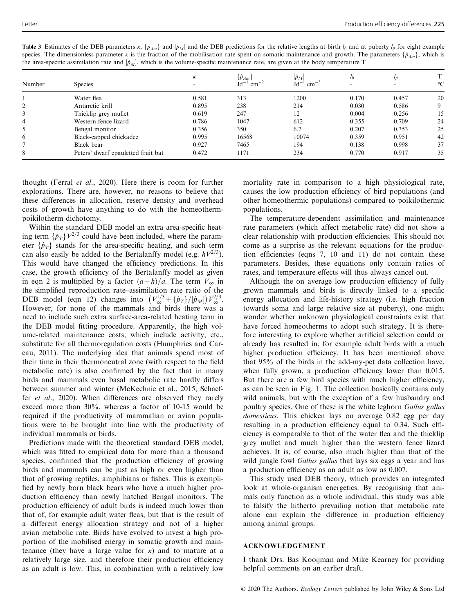Table 3 Estimates of the DEB parameters  $\kappa$ ,  $\{\dot{p}_{Am}\}$  and  $[\dot{p}_M]$  and the DEB predictions for the relative lengths at birth  $l_b$  and at puberty  $l_p$  for eight example species. The dimensionless parameter κ is the fraction of the mobilisation rate spent on somatic maintenance and growth. The parameters  $\{p_{Am}\}$ , which is the area-specific assimilation rate and  $\left[\dot{p}_M\right]$ , which is the volume-specific maintenance rate, are given at the body temperature T

| Number | <b>Species</b>                     | $\kappa$ | $\{p_{Am}\}$<br>$\rm cm^{-2}$<br>Jd <sup>–</sup> | $ p_M $<br>Jd <sup>-</sup><br>$\text{cm}^{-3}$ | l <sub>b</sub> |       | $^{\circ}C$ |
|--------|------------------------------------|----------|--------------------------------------------------|------------------------------------------------|----------------|-------|-------------|
|        | Water flea                         | 0.581    | 313                                              | 1200                                           | 0.170          | 0.457 | 20          |
|        | Antarctic krill                    | 0.895    | 238                                              | 214                                            | 0.030          | 0.586 | 9           |
| 3      | Thicklip grey mullet               | 0.619    | 247                                              | 12                                             | 0.004          | 0.256 | 15          |
| 4      | Western fence lizard               | 0.786    | 1047                                             | 612                                            | 0.355          | 0.709 | 24          |
|        | Bengal monitor                     | 0.356    | 350                                              | 6.7                                            | 0.207          | 0.353 | 25          |
| 6      | Black-capped chickadee             | 0.995    | 16568                                            | 10074                                          | 0.359          | 0.951 | 42          |
|        | Black bear                         | 0.927    | 7465                                             | 194                                            | 0.138          | 0.998 | 37          |
| 8      | Peters' dwarf epauletted fruit bat | 0.472    | 1171                                             | 234                                            | 0.770          | 0.917 | 35          |

thought (Ferral et al., 2020). Here there is room for further explorations. There are, however, no reasons to believe that these differences in allocation, reserve density and overhead costs of growth have anything to do with the homeothermpoikilotherm dichotomy.

Within the standard DEB model an extra area-specific heating term  $\{\dot{p}_T\} V^{2/3}$  could have been included, where the parameter  $\{\dot{p}_T\}$  stands for the area-specific heating, and such term can also easily be added to the Bertalanffy model (e.g.  $hV^{2/3}$ ). This would have changed the efficiency predictions. In this case, the growth efficiency of the Bertalanffy model as given in eqn 2 is multiplied by a factor  $(a-h)/a$ . The term  $V_{\infty}$  in<br>the simplified reproduction rate-assimilation rate ratio of the the simplified reproduction rate–assimilation rate ratio of the DEB model (eqn 12) changes into  $\left(V_{\infty}^{1/3} + \{p_T\}/|\dot{p}_M|\right)V_{\infty}^{2/3}$ .<br>However for none of the mammals and birds there was a However, for none of the mammals and birds there was a need to include such extra surface-area-related heating term in the DEB model fitting procedure. Apparently, the high volume-related maintenance costs, which include activity, etc., substitute for all thermoregulation costs (Humphries and Careau, 2011). The underlying idea that animals spend most of their time in their thermoneutral zone (with respect to the field metabolic rate) is also confirmed by the fact that in many birds and mammals even basal metabolic rate hardly differs between summer and winter (McKechnie et al., 2015; Schaeffer *et al.*, 2020). When differences are observed they rarely exceed more than 30%, whereas a factor of 10-15 would be required if the productivity of mammalian or avian populations were to be brought into line with the productivity of individual mammals or birds.

Predictions made with the theoretical standard DEB model, which was fitted to empirical data for more than a thousand species, confirmed that the production efficiency of growing birds and mammals can be just as high or even higher than that of growing reptiles, amphibians or fishes. This is exemplified by newly born black bears who have a much higher production efficiency than newly hatched Bengal monitors. The production efficiency of adult birds is indeed much lower than that of, for example adult water fleas, but that is the result of a different energy allocation strategy and not of a higher avian metabolic rate. Birds have evolved to invest a high proportion of the mobilised energy in somatic growth and maintenance (they have a large value for  $\kappa$ ) and to mature at a relatively large size, and therefore their production efficiency as an adult is low. This, in combination with a relatively low

mortality rate in comparison to a high physiological rate, causes the low production efficiency of bird populations (and other homeothermic populations) compared to poikilothermic populations.

The temperature-dependent assimilation and maintenance rate parameters (which affect metabolic rate) did not show a clear relationship with production efficiencies. This should not come as a surprise as the relevant equations for the production efficiencies (eqns 7, 10 and 11) do not contain these parameters. Besides, these equations only contain ratios of rates, and temperature effects will thus always cancel out.

Although the on average low production efficiency of fully grown mammals and birds is directly linked to a specific energy allocation and life-history strategy (i.e. high fraction towards soma and large relative size at puberty), one might wonder whether unknown physiological constraints exist that have forced homeotherms to adopt such strategy. It is therefore interesting to explore whether artificial selection could or already has resulted in, for example adult birds with a much higher production efficiency. It has been mentioned above that 95% of the birds in the add-my-pet data collection have, when fully grown, a production efficiency lower than 0.015. But there are a few bird species with much higher efficiency, as can be seen in Fig. 1. The collection basically contains only wild animals, but with the exception of a few husbandry and poultry species. One of these is the white leghorn Gallus gallus domesticus. This chicken lays on average 0.82 egg per day resulting in a production efficiency equal to 0.34. Such efficiency is comparable to that of the water flea and the thicklip grey mullet and much higher than the western fence lizard achieves. It is, of course, also much higher than that of the wild jungle fowl *Gallus gallus* that lays six eggs a year and has a production efficiency as an adult as low as 0.007.

This study used DEB theory, which provides an integrated look at whole-organism energetics. By recognising that animals only function as a whole individual, this study was able to falsify the hitherto prevailing notion that metabolic rate alone can explain the difference in production efficiency among animal groups.

#### ACKNOWLEDGEMENT

I thank Drs. Bas Kooijman and Mike Kearney for providing helpful comments on an earlier draft.